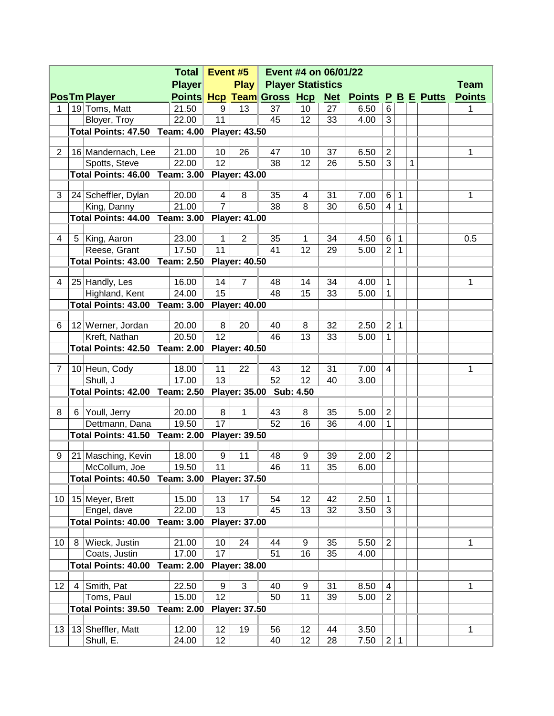| <b>Total</b>    |                                                                  |                                              |                   |                 | Event #5<br>Event #4 on 06/01/22 |                           |          |          |                               |                |              |   |  |               |
|-----------------|------------------------------------------------------------------|----------------------------------------------|-------------------|-----------------|----------------------------------|---------------------------|----------|----------|-------------------------------|----------------|--------------|---|--|---------------|
|                 |                                                                  |                                              | <b>Player</b>     |                 | <b>Play</b>                      | <b>Player Statistics</b>  |          |          |                               |                | <b>Team</b>  |   |  |               |
|                 |                                                                  | <b>PosTm Player</b>                          |                   |                 |                                  | Points Hcp Team Gross Hcp |          |          | <b>Net Points P B E Putts</b> |                |              |   |  | <b>Points</b> |
| 1               |                                                                  | 19 Toms, Matt                                | 21.50             | 9               | 13                               | 37                        | 10       | 27       | 6.50                          | 6              |              |   |  | 1             |
|                 |                                                                  | Bloyer, Troy                                 | 22.00             | 11              |                                  | 45                        | 12       | 33       | 4.00                          | 3              |              |   |  |               |
|                 |                                                                  | Total Points: 47.50 Team: 4.00 Player: 43.50 |                   |                 |                                  |                           |          |          |                               |                |              |   |  |               |
|                 |                                                                  |                                              |                   |                 |                                  |                           |          |          |                               |                |              |   |  |               |
| $\overline{2}$  |                                                                  | 16 Mandernach, Lee                           | 21.00             | 10              | 26                               | 47                        | 10       | 37       | 6.50                          | $\overline{2}$ |              |   |  | 1             |
|                 |                                                                  | Spotts, Steve                                | 22.00             | 12              |                                  | 38                        | 12       | 26       | 5.50                          | 3              |              | 1 |  |               |
|                 |                                                                  | <b>Total Points: 46.00 Team: 3.00</b>        |                   |                 | <b>Player: 43.00</b>             |                           |          |          |                               |                |              |   |  |               |
| 3               |                                                                  | 24 Scheffler, Dylan                          | 20.00             | 4               | 8                                | 35                        | 4        | 31       | 7.00                          | 6              | 1            |   |  | 1             |
|                 |                                                                  | King, Danny                                  | 21.00             | $\overline{7}$  |                                  | 38                        | 8        | 30       | 6.50                          | $\overline{4}$ | 1            |   |  |               |
|                 | Total Points: 44.00 Team: 3.00 Player: 41.00                     |                                              |                   |                 |                                  |                           |          |          |                               |                |              |   |  |               |
|                 |                                                                  |                                              |                   |                 |                                  |                           |          |          |                               |                |              |   |  |               |
| 4               |                                                                  | 5 King, Aaron                                | 23.00             | $\mathbf{1}$    | 2                                | 35                        | 1        | 34       | 4.50                          | 6              | 1            |   |  | 0.5           |
|                 |                                                                  | Reese, Grant                                 | 17.50             | 11              |                                  | 41                        | 12       | 29       | 5.00                          | $\overline{2}$ | $\mathbf{1}$ |   |  |               |
|                 |                                                                  | <b>Total Points: 43.00 Team: 2.50</b>        |                   |                 | <b>Player: 40.50</b>             |                           |          |          |                               |                |              |   |  |               |
|                 |                                                                  |                                              |                   |                 |                                  |                           |          |          |                               |                |              |   |  |               |
| 4               |                                                                  | 25 Handly, Les<br>Highland, Kent             | 16.00<br>24.00    | 14<br>15        | $\overline{7}$                   | 48<br>48                  | 14<br>15 | 34<br>33 | 4.00<br>5.00                  | 1<br>1         |              |   |  | 1             |
|                 |                                                                  | <b>Total Points: 43.00 Team: 3.00</b>        |                   |                 | <b>Player: 40.00</b>             |                           |          |          |                               |                |              |   |  |               |
|                 |                                                                  |                                              |                   |                 |                                  |                           |          |          |                               |                |              |   |  |               |
| 6               |                                                                  | 12 Werner, Jordan                            | 20.00             | 8               | 20                               | 40                        | 8        | 32       | 2.50                          | $\overline{2}$ | 1            |   |  |               |
|                 |                                                                  | Kreft, Nathan                                | 20.50             | 12              |                                  | 46                        | 13       | 33       | 5.00                          | 1              |              |   |  |               |
|                 |                                                                  | <b>Total Points: 42.50 Team: 2.00</b>        |                   |                 | <b>Player: 40.50</b>             |                           |          |          |                               |                |              |   |  |               |
|                 |                                                                  |                                              |                   |                 |                                  |                           |          |          |                               |                |              |   |  |               |
| 7               |                                                                  | 10 Heun, Cody                                | 18.00             | 11              | 22                               | 43                        | 12       | 31       | 7.00                          | $\overline{4}$ |              |   |  | 1             |
|                 |                                                                  | Shull, J                                     | 17.00             | 13              |                                  | 52                        | 12       | 40       | 3.00                          |                |              |   |  |               |
|                 | <b>Total Points: 42.00 Team: 2.50</b><br>Player: 35.00 Sub: 4.50 |                                              |                   |                 |                                  |                           |          |          |                               |                |              |   |  |               |
|                 |                                                                  |                                              | 20.00             | 8               |                                  |                           | 8        | 35       | 5.00                          | $\overline{2}$ |              |   |  |               |
| 8               |                                                                  | 6 Youll, Jerry<br>Dettmann, Dana             | 19.50             | 17              | 1                                | 43<br>52                  | 16       | 36       | 4.00                          | 1              |              |   |  |               |
|                 |                                                                  | Total Points: 41.50 Team: 2.00 Player: 39.50 |                   |                 |                                  |                           |          |          |                               |                |              |   |  |               |
|                 |                                                                  |                                              |                   |                 |                                  |                           |          |          |                               |                |              |   |  |               |
| 9               |                                                                  | 21 Masching, Kevin                           | 18.00             | 9               | 11                               | 48                        | 9        | 39       | 2.00                          | $\overline{2}$ |              |   |  |               |
|                 |                                                                  | McCollum, Joe                                | 19.50             | 11              |                                  | 46                        | 11       | 35       | 6.00                          |                |              |   |  |               |
|                 |                                                                  | Total Points: 40.50 Team: 3.00 Player: 37.50 |                   |                 |                                  |                           |          |          |                               |                |              |   |  |               |
|                 |                                                                  |                                              |                   |                 |                                  |                           |          |          |                               |                |              |   |  |               |
| 10 <sup>°</sup> |                                                                  | 15 Meyer, Brett                              | 15.00             | 13              | 17                               | 54                        | 12       | 42       | 2.50                          | 1              |              |   |  |               |
|                 |                                                                  | Engel, dave                                  | 22.00             | 13              |                                  | 45                        | 13       | 32       | 3.50                          | 3              |              |   |  |               |
|                 |                                                                  | <b>Total Points: 40.00</b>                   | <b>Team: 3.00</b> |                 | <b>Player: 37.00</b>             |                           |          |          |                               |                |              |   |  |               |
| 10              | 8                                                                | Wieck, Justin                                | 21.00             | 10              | 24                               | 44                        | 9        | 35       | 5.50                          | $\mathbf{2}$   |              |   |  | 1             |
|                 |                                                                  | Coats, Justin                                | 17.00             | 17              |                                  | 51                        | 16       | 35       | 4.00                          |                |              |   |  |               |
|                 |                                                                  | <b>Total Points: 40.00</b>                   | <b>Team: 2.00</b> |                 | <b>Player: 38.00</b>             |                           |          |          |                               |                |              |   |  |               |
|                 |                                                                  |                                              |                   |                 |                                  |                           |          |          |                               |                |              |   |  |               |
| 12              | 4                                                                | Smith, Pat                                   | 22.50             | 9               | 3                                | 40                        | 9        | 31       | 8.50                          | 4              |              |   |  | 1             |
|                 |                                                                  | Toms, Paul                                   | 15.00             | 12              |                                  | 50                        | 11       | 39       | 5.00                          | $\overline{2}$ |              |   |  |               |
|                 |                                                                  | Total Points: 39.50                          | <b>Team: 2.00</b> |                 | <b>Player: 37.50</b>             |                           |          |          |                               |                |              |   |  |               |
|                 |                                                                  |                                              |                   |                 |                                  |                           |          |          |                               |                |              |   |  |               |
| 13              |                                                                  | 13 Sheffler, Matt                            | 12.00             | 12              | 19                               | 56                        | 12       | 44       | 3.50                          |                |              |   |  | 1             |
|                 |                                                                  | Shull, E.                                    | 24.00             | 12 <sub>2</sub> |                                  | 40                        | 12       | 28       | 7.50                          | $\overline{c}$ | $\mathbf{1}$ |   |  |               |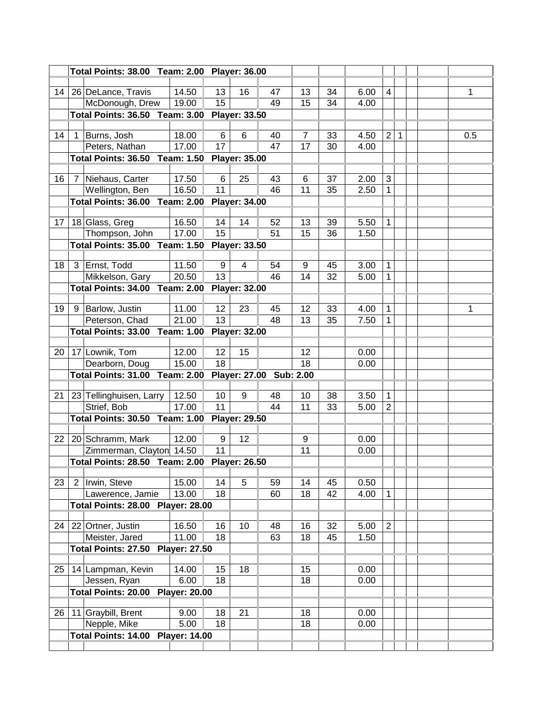|                 |                                                               | Total Points: 38.00 Team: 2.00 Player: 36.00 |                |          |                         |                         |         |          |      |                |              |  |     |
|-----------------|---------------------------------------------------------------|----------------------------------------------|----------------|----------|-------------------------|-------------------------|---------|----------|------|----------------|--------------|--|-----|
|                 |                                                               |                                              |                |          |                         |                         |         |          |      |                |              |  |     |
| 14              |                                                               | 26 DeLance, Travis                           | 14.50          | 13       | 16                      | 47                      | 13      | 34       | 6.00 | $\overline{4}$ |              |  | 1   |
|                 |                                                               | McDonough, Drew                              | 19.00          | 15       |                         | 49                      | 15      | 34       | 4.00 |                |              |  |     |
|                 |                                                               | <b>Total Points: 36.50 Team: 3.00</b>        |                |          | <b>Player: 33.50</b>    |                         |         |          |      |                |              |  |     |
|                 |                                                               |                                              |                |          |                         |                         |         |          |      |                |              |  |     |
| 14              |                                                               | Burns, Josh                                  | 18.00          | 6        | 6                       | 40                      | 7       | 33       | 4.50 | $\overline{2}$ | $\mathbf{1}$ |  | 0.5 |
|                 |                                                               | Peters, Nathan                               | 17.00          | 17       |                         | 47                      | 17      | 30       | 4.00 |                |              |  |     |
|                 |                                                               | <b>Total Points: 36.50 Team: 1.50</b>        |                |          | <b>Player: 35.00</b>    |                         |         |          |      |                |              |  |     |
|                 |                                                               |                                              |                |          |                         |                         |         |          |      |                |              |  |     |
| 16              |                                                               | Niehaus, Carter                              | 17.50<br>16.50 | 6<br>11  | 25                      | 43                      | 6<br>11 | 37<br>35 | 2.00 | 3              |              |  |     |
|                 |                                                               | Wellington, Ben                              |                |          |                         | 46                      |         |          | 2.50 | 1              |              |  |     |
|                 | <b>Total Points: 36.00 Team: 2.00</b><br><b>Player: 34.00</b> |                                              |                |          |                         |                         |         |          |      |                |              |  |     |
| 17              |                                                               | 18 Glass, Greg                               | 16.50          | 14       | 14                      | 52                      | 13      | 39       | 5.50 | 1              |              |  |     |
|                 |                                                               | Thompson, John                               | 17.00          | 15       |                         | 51                      | 15      | 36       | 1.50 |                |              |  |     |
|                 |                                                               | <b>Total Points: 35.00 Team: 1.50</b>        |                |          | <b>Player: 33.50</b>    |                         |         |          |      |                |              |  |     |
|                 |                                                               |                                              |                |          |                         |                         |         |          |      |                |              |  |     |
| 18              |                                                               | 3 Ernst, Todd                                | 11.50          | 9        | $\overline{\mathbf{4}}$ | 54                      | 9       | 45       | 3.00 | 1              |              |  |     |
|                 |                                                               | Mikkelson, Gary                              | 20.50          | 13       |                         | 46                      | 14      | 32       | 5.00 | 1              |              |  |     |
|                 |                                                               | <b>Total Points: 34.00 Team: 2.00</b>        |                |          | <b>Player: 32.00</b>    |                         |         |          |      |                |              |  |     |
|                 |                                                               |                                              |                |          |                         |                         |         |          |      |                |              |  |     |
| 19              |                                                               | 9 Barlow, Justin                             | 11.00          | 12       | 23                      | 45                      | 12      | 33       | 4.00 | 1              |              |  | 1   |
|                 |                                                               | Peterson, Chad                               | 21.00          | 13       |                         | 48                      | 13      | 35       | 7.50 | 1              |              |  |     |
|                 |                                                               | <b>Total Points: 33.00 Team: 1.00</b>        |                |          | <b>Player: 32.00</b>    |                         |         |          |      |                |              |  |     |
|                 |                                                               |                                              |                |          |                         |                         |         |          |      |                |              |  |     |
| 20              |                                                               | 17 Lownik, Tom                               | 12.00          | 12       | 15                      |                         | 12      |          | 0.00 |                |              |  |     |
|                 |                                                               | Dearborn, Doug                               | 15.00          | 18       |                         |                         | 18      |          | 0.00 |                |              |  |     |
|                 |                                                               | <b>Total Points: 31.00 Team: 2.00</b>        |                |          |                         | Player: 27.00 Sub: 2.00 |         |          |      |                |              |  |     |
| 21              |                                                               | 23 Tellinghuisen, Larry                      | 12.50          | 10       | 9                       | 48                      | 10      | 38       | 3.50 | 1              |              |  |     |
|                 |                                                               | Strief, Bob                                  | 17.00          | 11       |                         | 44                      | 11      | 33       | 5.00 | $\overline{2}$ |              |  |     |
|                 |                                                               | <b>Total Points: 30.50 Team: 1.00</b>        |                |          | <b>Player: 29.50</b>    |                         |         |          |      |                |              |  |     |
|                 |                                                               |                                              |                |          |                         |                         |         |          |      |                |              |  |     |
| 22 <sub>1</sub> |                                                               | 20 Schramm, Mark                             | 12.00          | 9        | 12                      |                         | 9       |          | 0.00 |                |              |  |     |
|                 |                                                               | Zimmerman, Clayton 14.50                     |                | 11       |                         |                         | 11      |          | 0.00 |                |              |  |     |
|                 |                                                               | Total Points: 28.50 Team: 2.00 Player: 26.50 |                |          |                         |                         |         |          |      |                |              |  |     |
|                 |                                                               |                                              |                |          |                         |                         |         |          |      |                |              |  |     |
| 23              |                                                               | 2 Irwin, Steve                               | 15.00          | 14       | 5                       | 59                      | 14      | 45       | 0.50 |                |              |  |     |
|                 |                                                               | Lawerence, Jamie                             | 13.00          | 18       |                         | 60                      | 18      | 42       | 4.00 | 1              |              |  |     |
|                 |                                                               | <b>Total Points: 28.00 Player: 28.00</b>     |                |          |                         |                         |         |          |      |                |              |  |     |
|                 |                                                               |                                              |                |          |                         |                         |         |          |      |                |              |  |     |
| 24              |                                                               | 22 Ortner, Justin                            | 16.50          | 16<br>18 | 10                      | 48                      | 16      | 32       | 5.00 | $\overline{2}$ |              |  |     |
|                 |                                                               | Meister, Jared                               | 11.00          |          |                         | 63                      | 18      | 45       | 1.50 |                |              |  |     |
|                 |                                                               | Total Points: 27.50 Player: 27.50            |                |          |                         |                         |         |          |      |                |              |  |     |
| 25              |                                                               | 14 Lampman, Kevin                            | 14.00          | 15       | 18                      |                         | 15      |          | 0.00 |                |              |  |     |
|                 |                                                               | Jessen, Ryan                                 | 6.00           | 18       |                         |                         | 18      |          | 0.00 |                |              |  |     |
|                 |                                                               | <b>Total Points: 20.00 Player: 20.00</b>     |                |          |                         |                         |         |          |      |                |              |  |     |
|                 |                                                               |                                              |                |          |                         |                         |         |          |      |                |              |  |     |
| 26              |                                                               | 11 Graybill, Brent                           | 9.00           | 18       | 21                      |                         | 18      |          | 0.00 |                |              |  |     |
|                 |                                                               | Nepple, Mike                                 | 5.00           | 18       |                         |                         | 18      |          | 0.00 |                |              |  |     |
|                 |                                                               | <b>Total Points: 14.00 Player: 14.00</b>     |                |          |                         |                         |         |          |      |                |              |  |     |
|                 |                                                               |                                              |                |          |                         |                         |         |          |      |                |              |  |     |